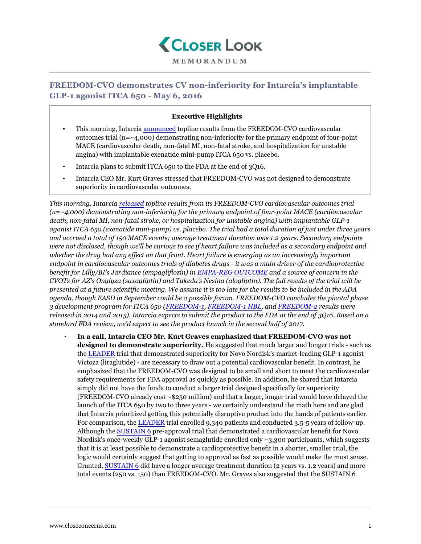

## **FREEDOM-CVO demonstrates CV non-inferiority for Intarcia's implantable GLP-1 agonist ITCA 650 - May 6, 2016**

## **Executive Highlights**

- This morning, Intarcia [announced](http://www.intarcia.com/media/press-releases/2016-may-6-cardiovascular-safety.html) topline results from the FREEDOM-CVO cardiovascular outcomes trial  $(n = 4,000)$  demonstrating non-inferiority for the primary endpoint of four-point MACE (cardiovascular death, non-fatal MI, non-fatal stroke, and hospitalization for unstable angina) with implantable exenatide mini-pump ITCA 650 vs. placebo.
- Intarcia plans to submit ITCA 650 to the FDA at the end of 3Q16.
- Intarcia CEO Mr. Kurt Graves stressed that FREEDOM-CVO was not designed to demonstrate superiority in cardiovascular outcomes.

*This morning, Intarcia [released](http://www.intarcia.com/media/press-releases/2016-may-6-cardiovascular-safety.html) topline results from its FREEDOM-CVO cardiovascular outcomes trial (n=~4,000) demonstrating non-inferiority for the primary endpoint of four-point MACE (cardiovascular death, non-fatal MI, non-fatal stroke, or hospitalization for unstable angina) with implantable GLP-1 agonist ITCA 650 (exenatide mini-pump) vs. placebo. The trial had a total duration of just under three years and accrued a total of 150 MACE events; average treatment duration was 1.2 years. Secondary endpoints were not disclosed, though we'll be curious to see if heart failure was included as a secondary endpoint and whether the drug had any effect on that front. Heart failure is emerging as an increasingly important endpoint in cardiovascular outcomes trials of diabetes drugs - it was a main driver of the cardioprotective benefit for Lilly/BI's Jardiance (empagliflozin) in [EMPA-REG OUTCOME](https://www.closeconcerns.com/knowledgebase/r/2d36c833#Symposium:_Results_of_the_EMPA-REG_OUTCOME_Study) and a source of concern in the CVOTs for AZ's Onglyza (saxagliptin) and Takeda's Nesina (alogliptin). The full results of the trial will be presented at a future scientific meeting. We assume it is too late for the results to be included in the ADA agenda, though EASD in September could be a possible forum. FREEDOM-CVO concludes the pivotal phase 3 development program for ITCA 650 ([FREEDOM-1](https://www.closeconcerns.com/knowledgebase/r/3c938cd1), [FREEDOM-1 HBL](https://www.closeconcerns.com/knowledgebase/r/3c938cd1), and [FREEDOM-2](https://www.closeconcerns.com/knowledgebase/r/3673337e) results were released in 2014 and 2015). Intarcia expects to submit the product to the FDA at the end of 3Q16. Based on a standard FDA review, we'd expect to see the product launch in the second half of 2017.*

▪ **In a call, Intarcia CEO Mr. Kurt Graves emphasized that FREEDOM-CVO was not designed to demonstrate superiority.** He suggested that much larger and longer trials - such as the [LEADER](https://www.closeconcerns.com/knowledgebase/r/dd43c51e) trial that demonstrated superiority for Novo Nordisk's market-leading GLP-1 agonist Victoza (liraglutide) - are necessary to draw out a potential cardiovascular benefit. In contrast, he emphasized that the FREEDOM-CVO was designed to be small and short to meet the cardiovascular safety requirements for FDA approval as quickly as possible. In addition, he shared that Intarcia simply did not have the funds to conduct a larger trial designed specifically for superiority (FREEDOM-CVO already cost ~\$250 million) and that a larger, longer trial would have delayed the launch of the ITCA 650 by two to three years - we certainly understand the math here and are glad that Intarcia prioritized getting this potentially disruptive product into the hands of patients earlier. For comparison, the [LEADER](https://www.closeconcerns.com/knowledgebase/r/dd43c51e) trial enrolled 9,340 patients and conducted 3.5-5 years of follow-up. Although the [SUSTAIN 6](https://www.closeconcerns.com/knowledgebase/r/6db307a5) pre-approval trial that demonstrated a cardiovascular benefit for Novo Nordisk's once-weekly GLP-1 agonist semaglutide enrolled only ~3,300 participants, which suggests that it is at least possible to demonstrate a cardioprotective benefit in a shorter, smaller trial, the logic would certainly suggest that getting to approval as fast as possible would make the most sense. Granted, [SUSTAIN 6](https://www.closeconcerns.com/knowledgebase/r/6db307a5) did have a longer average treatment duration (2 years vs. 1.2 years) and more total events (250 vs. 150) than FREEDOM-CVO. Mr. Graves also suggested that the SUSTAIN 6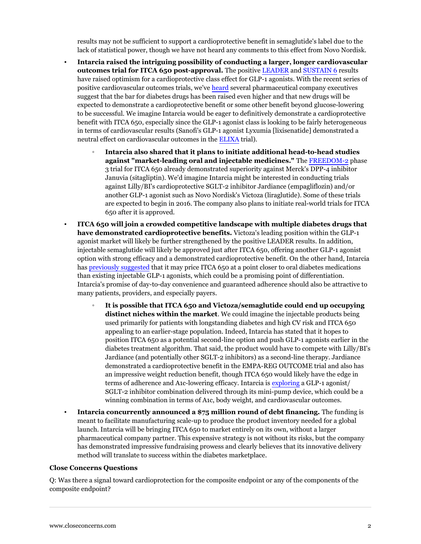results may not be sufficient to support a cardioprotective benefit in semaglutide's label due to the lack of statistical power, though we have not heard any comments to this effect from Novo Nordisk.

- **Intarcia raised the intriguing possibility of conducting a larger, longer cardiovascular outcomes trial for ITCA 650 post-approval.** The positive [LEADER](https://www.closeconcerns.com/knowledgebase/r/dd43c51e) and [SUSTAIN 6](https://www.closeconcerns.com/knowledgebase/r/6db307a5) results have raised optimism for a cardioprotective class effect for GLP-1 agonists. With the recent series of positive cardiovascular outcomes trials, we've [heard](https://www.closeconcerns.com/knowledgebase/r/d1b46ec7) several pharmaceutical company executives suggest that the bar for diabetes drugs has been raised even higher and that new drugs will be expected to demonstrate a cardioprotective benefit or some other benefit beyond glucose-lowering to be successful. We imagine Intarcia would be eager to definitively demonstrate a cardioprotective benefit with ITCA 650, especially since the GLP-1 agonist class is looking to be fairly heterogeneous in terms of cardiovascular results (Sanofi's GLP-1 agonist Lyxumia [lixisenatide] demonstrated a neutral effect on cardiovascular outcomes in the [ELIXA](https://www.closeconcerns.com/knowledgebase/r/2ca5716c#Oral_Presentations:_The_Evaluation_of_Lixisenatide_in_Acute_Coronary_Syndrome_The_Results_of_ELIXA) trial).
	- **Intarcia also shared that it plans to initiate additional head-to-head studies against "market-leading oral and injectable medicines."** The [FREEDOM-2](https://www.closeconcerns.com/knowledgebase/r/3673337e) phase 3 trial for ITCA 650 already demonstrated superiority against Merck's DPP-4 inhibitor Januvia (sitagliptin). We'd imagine Intarcia might be interested in conducting trials against Lilly/BI's cardioprotective SGLT-2 inhibitor Jardiance (empagliflozin) and/or another GLP-1 agonist such as Novo Nordisk's Victoza (liraglutide). Some of these trials are expected to begin in 2016. The company also plans to initiate real-world trials for ITCA 650 after it is approved.
- **ITCA 650 will join a crowded competitive landscape with multiple diabetes drugs that have demonstrated cardioprotective benefits.** Victoza's leading position within the GLP-1 agonist market will likely be further strengthened by the positive LEADER results. In addition, injectable semaglutide will likely be approved just after ITCA 650, offering another GLP-1 agonist option with strong efficacy and a demonstrated cardioprotective benefit. On the other hand, Intarcia has [previously suggested](https://www.closeconcerns.com/knowledgebase/r/33fbdcb4) that it may price ITCA 650 at a point closer to oral diabetes medications than existing injectable GLP-1 agonists, which could be a promising point of differentiation. Intarcia's promise of day-to-day convenience and guaranteed adherence should also be attractive to many patients, providers, and especially payers.
	- **It is possible that ITCA 650 and Victoza/semaglutide could end up occupying distinct niches within the market**. We could imagine the injectable products being used primarily for patients with longstanding diabetes and high CV risk and ITCA 650 appealing to an earlier-stage population. Indeed, Intarcia has stated that it hopes to position ITCA 650 as a potential second-line option and push GLP-1 agonists earlier in the diabetes treatment algorithm. That said, the product would have to compete with Lilly/BI's Jardiance (and potentially other SGLT-2 inhibitors) as a second-line therapy. Jardiance demonstrated a cardioprotective benefit in the EMPA-REG OUTCOME trial and also has an impressive weight reduction benefit, though ITCA 650 would likely have the edge in terms of adherence and A1c-lowering efficacy. Intarcia is [exploring](https://www.closeconcerns.com/knowledgebase/r/9598d10e#Intarcia) a GLP-1 agonist/ SGLT-2 inhibitor combination delivered through its mini-pump device, which could be a winning combination in terms of A1c, body weight, and cardiovascular outcomes.
- **Intarcia concurrently announced a \$75 million round of debt financing.** The funding is meant to facilitate manufacturing scale-up to produce the product inventory needed for a global launch. Intarcia will be bringing ITCA 650 to market entirely on its own, without a larger pharmaceutical company partner. This expensive strategy is not without its risks, but the company has demonstrated impressive fundraising prowess and clearly believes that its innovative delivery method will translate to success within the diabetes marketplace.

## **Close Concerns Questions**

Q: Was there a signal toward cardioprotection for the composite endpoint or any of the components of the composite endpoint?